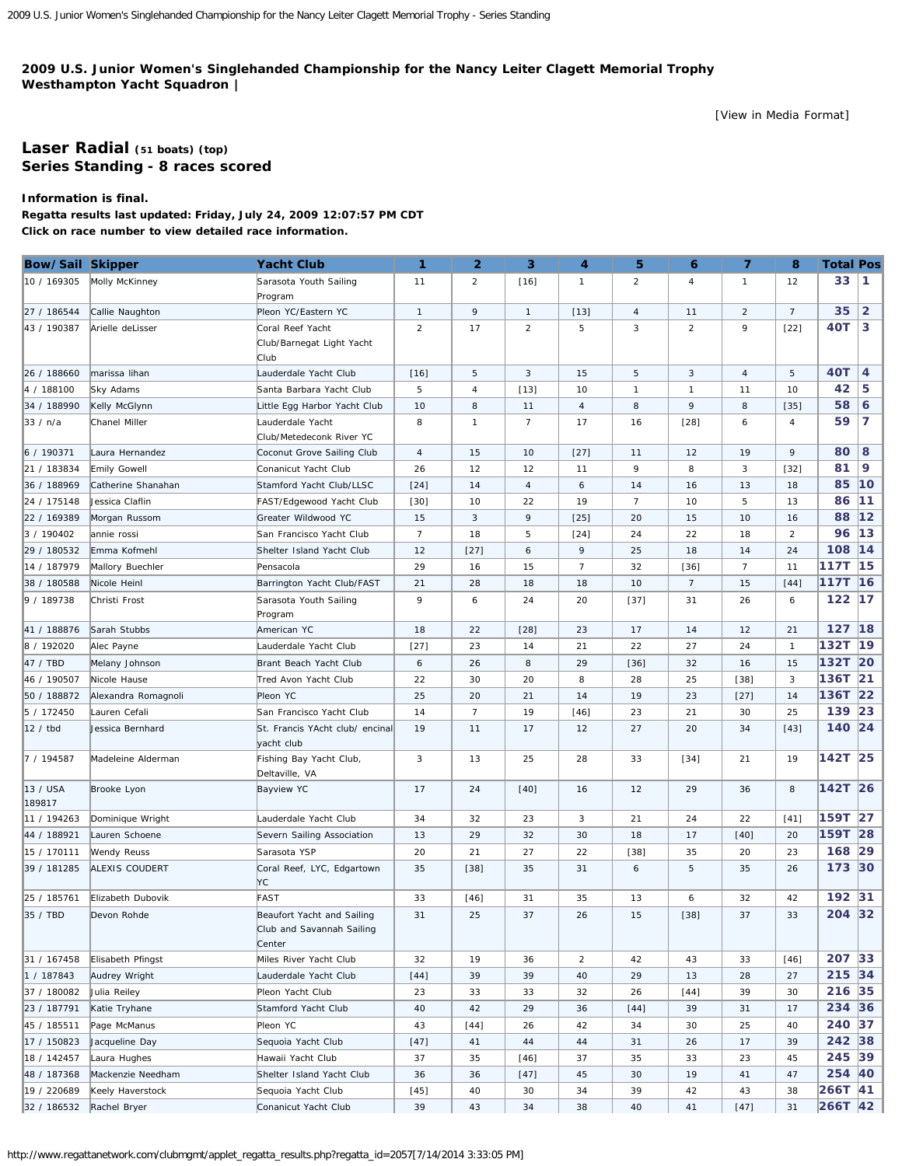## <span id="page-0-0"></span>**2009 U.S. Junior Women's Singlehanded Championship for the Nancy Leiter Clagett Memorial Trophy Westhampton Yacht Squadron |**

[\[View in Media Format](http://www.regattanetwork.com/clubmgmt/applet_regatta_results.php?regatta_id=2057&media_format=1)]

## **[Laser Radial](http://www.regattanetwork.com/clubmgmt/applet_regatta_results.php?regatta_id=2057&limit_fleet=Laser+Radial) (51 boats) [\(top\)](#page-0-0) Series Standing - 8 races scored**

**Information is final.**

**Regatta results last updated: Friday, July 24, 2009 12:07:57 PM CDT Click on race number to view detailed race information.**

| <b>Bow/Sail Skipper</b> |                       | <b>Yacht Club</b>                                                 | $\mathbf{1}$   | $\overline{2}$ | 3              | 4              | 5              | 6              | $\overline{ }$ | 8               | <b>Total Pos</b> |                |
|-------------------------|-----------------------|-------------------------------------------------------------------|----------------|----------------|----------------|----------------|----------------|----------------|----------------|-----------------|------------------|----------------|
| 10 / 169305             | Molly McKinney        | Sarasota Youth Sailing<br>Program                                 | 11             | $\overline{2}$ | $[16]$         | $\mathbf{1}$   | $\overline{2}$ | 4              | $\mathbf{1}$   | 12              | 33               | $\mathbf{1}$   |
| 27 / 186544             | Callie Naughton       | Pleon YC/Eastern YC                                               | $\mathbf{1}$   | 9              | $\mathbf{1}$   | $[13]$         | $\overline{4}$ | 11             | $\overline{2}$ | $7\overline{ }$ | 35               | $\overline{2}$ |
| 43 / 190387             | Arielle deLisser      | Coral Reef Yacht<br>Club/Barnegat Light Yacht<br>Club             | $\overline{2}$ | 17             | $\overline{2}$ | 5              | 3              | $\overline{2}$ | 9              | $[22]$          | 40T              | 3              |
| 26 / 188660             | marissa lihan         | Lauderdale Yacht Club                                             | $[16]$         | 5              | 3              | 15             | 5              | 3              | 4              | 5               | 40T              | $\overline{4}$ |
| 4 / 188100              | Sky Adams             | Santa Barbara Yacht Club                                          | 5              | 4              | $[13]$         | 10             | $\mathbf{1}$   | 1              | 11             | 10              | 42               | 5              |
| 34 / 188990             | Kelly McGlynn         | Little Egg Harbor Yacht Club                                      | 10             | 8              | 11             | $\overline{4}$ | 8              | 9              | 8              | $[35]$          | 58               | 6              |
| ∥33 / n/a               | Chanel Miller         | auderdale Yacht<br>Club/Metedeconk River YC                       | 8              | $\mathbf{1}$   | $\overline{7}$ | 17             | 16             | $[28]$         | 6              | $\overline{4}$  | 59               | 7              |
| 6 / 190371              | Laura Hernandez       | Coconut Grove Sailing Club                                        | $\overline{4}$ | 15             | 10             | $[27]$         | 11             | 12             | 19             | 9               | 80               | 8              |
| 21 / 183834             | <b>Emily Gowell</b>   | Conanicut Yacht Club                                              | 26             | 12             | 12             | 11             | 9              | 8              | 3              | $[32]$          | 81               | 9              |
| 36 / 188969             | Catherine Shanahan    | Stamford Yacht Club/LLSC                                          | $[24]$         | 14             | 4              | 6              | 14             | 16             | 13             | 18              | 85               | 10             |
| 24 / 175148             | Jessica Claflin       | FAST/Edgewood Yacht Club                                          | $[30]$         | 10             | 22             | 19             | $\overline{7}$ | 10             | 5              | 13              | 86               | 11             |
| 22 / 169389             | Morgan Russom         | Greater Wildwood YC                                               | 15             | 3              | 9              | $[25]$         | 20             | 15             | 10             | 16              | 88               | $12$           |
| 3 / 190402              | annie rossi           | San Francisco Yacht Club                                          | $\overline{7}$ | 18             | 5              | $[24]$         | 24             | 22             | 18             | $\overline{2}$  | 96               | 13             |
| 29 / 180532             | Emma Kofmehl          | Shelter Island Yacht Club                                         | 12             | $[27]$         | 6              | 9              | 25             | 18             | 14             | 24              | 108              | 14             |
| 14 / 187979             | Mallory Buechler      | Pensacola                                                         | 29             | 16             | 15             | $\overline{7}$ | 32             | $[36]$         | $\overline{7}$ | 11              | 117T             | 15             |
| 38 / 180588             | Nicole Heinl          | Barrington Yacht Club/FAST                                        | 21             | 28             | 18             | 18             | 10             | $\overline{7}$ | 15             | $[44]$          | 117T             | 16             |
| 9 / 189738              | Christi Frost         | Sarasota Youth Sailing<br>Program                                 | 9              | 6              | 24             | 20             | $[37]$         | 31             | 26             | 6               | 122              | 17             |
| 41 / 188876             | Sarah Stubbs          | American YC                                                       | 18             | 22             | $[28]$         | 23             | 17             | 14             | 12             | 21              | 127              | 18             |
| 8 / 192020              | Alec Payne            | auderdale Yacht Club                                              | $[27]$         | 23             | 14             | 21             | 22             | 27             | 24             | $\mathbf{1}$    | 132T             | 19             |
| $ 47/$ TBD              | Melany Johnson        | Brant Beach Yacht Club                                            | 6              | 26             | 8              | 29             | $[36]$         | 32             | 16             | 15              | 132T             | $ 20\rangle$   |
| 46 / 190507             | Nicole Hause          | Tred Avon Yacht Club                                              | 22             | 30             | 20             | 8              | 28             | 25             | $[38]$         | 3               | 136T             | 21             |
| 50 / 188872             | Alexandra Romagnoli   | Pleon YC                                                          | 25             | 20             | 21             | 14             | 19             | 23             | $[27]$         | 14              | 136T             | 22             |
| 5 / 172450              | Lauren Cefali         | San Francisco Yacht Club                                          | 14             | $\overline{7}$ | 19             | $[46]$         | 23             | 21             | 30             | 25              | 139              | 23             |
| 12 / tbd                | Jessica Bernhard      | St. Francis YAcht club/ encinal<br>yacht club                     | 19             | 11             | 17             | 12             | 27             | 20             | 34             | $[43]$          | 140 24           |                |
| 7 / 194587              | Madeleine Alderman    | Fishing Bay Yacht Club,<br>Deltaville, VA                         | 3              | 13             | 25             | 28             | 33             | $[34]$         | 21             | 19              | 142T 25          |                |
| 13 / USA<br>189817      | Brooke Lyon           | <b>Bayview YC</b>                                                 | 17             | 24             | $[40]$         | 16             | 12             | 29             | 36             | 8               | 142T 26          |                |
| 11 / 194263             | Dominique Wright      | auderdale Yacht Club                                              | 34             | 32             | 23             | 3              | 21             | 24             | 22             | $[41]$          | 159T             | 27             |
| 44 / 188921             | Lauren Schoene        | Severn Sailing Association                                        | 13             | 29             | 32             | 30             | 18             | 17             | $[40]$         | 20              | 159T             | 28             |
| 15 / 170111             | Wendy Reuss           | Sarasota YSP                                                      | 20             | 21             | 27             | 22             | $[38]$         | 35             | 20             | 23              | 168              | 29             |
| 39 / 181285             | <b>ALEXIS COUDERT</b> | Coral Reef, LYC, Edgartown<br>YC                                  | 35             | $[38]$         | 35             | 31             | 6              | 5              | 35             | 26              | 173 30           |                |
| 25 / 185761             | Elizabeth Dubovik     | FAST                                                              | 33             | $[46]$         | 31             | 35             | 13             | 6              | 32             | 42              | 192 31           |                |
| 35 / TBD                | Devon Rohde           | Beaufort Yacht and Sailing<br>Club and Savannah Sailing<br>Center | 31             | 25             | 37             | 26             | 15             | $[38]$         | 37             | 33              | 204 32           |                |
| 31 / 167458             | Elisabeth Pfingst     | Miles River Yacht Club                                            | 32             | 19             | 36             | $\overline{a}$ | 42             | 43             | 33             | $[46]$          | 207 33           |                |
| 1 / 187843              | Audrey Wright         | Lauderdale Yacht Club                                             | $[44]$         | 39             | 39             | 40             | 29             | 13             | 28             | 27              | 215 34           |                |
| 37 / 180082             | Julia Reiley          | Pleon Yacht Club                                                  | 23             | 33             | 33             | 32             | 26             | [44]           | 39             | 30              | 216 35           |                |
| 23 / 187791             | Katie Tryhane         | Stamford Yacht Club                                               | 40             | 42             | 29             | 36             | $[44]$         | 39             | 31             | 17              | 234 36           |                |
| 45 / 185511             | Page McManus          | Pleon YC                                                          | 43             | $[44]$         | 26             | 42             | 34             | 30             | 25             | 40              | 240 37           |                |
| 17 / 150823             | Jacqueline Day        | Sequoia Yacht Club                                                | $[47]$         | 41             | 44             | 44             | 31             | 26             | 17             | 39              | 242 38           |                |
| 18 / 142457             | Laura Hughes          | Hawaii Yacht Club                                                 | 37             | 35             | $[46]$         | 37             | 35             | 33             | 23             | 45              | 245 39           |                |
| 48 / 187368             | Mackenzie Needham     | Shelter Island Yacht Club                                         | 36             | 36             | $[47]$         | 45             | 30             | 19             | 41             | 47              | 254 40           |                |
| 19 / 220689             | Keely Haverstock      | Sequoia Yacht Club                                                | $[45]$         | 40             | 30             | 34             | 39             | 42             | 43             | 38              | 266T 41          |                |
| 32 / 186532             | Rachel Bryer          | Conanicut Yacht Club                                              | 39             | 43             | 34             | 38             | 40             | 41             | $[47]$         | 31              | 266T 42          |                |

```
http://www.regattanetwork.com/clubmgmt/applet_regatta_results.php?regatta_id=2057[7/14/2014 3:33:05 PM]
```